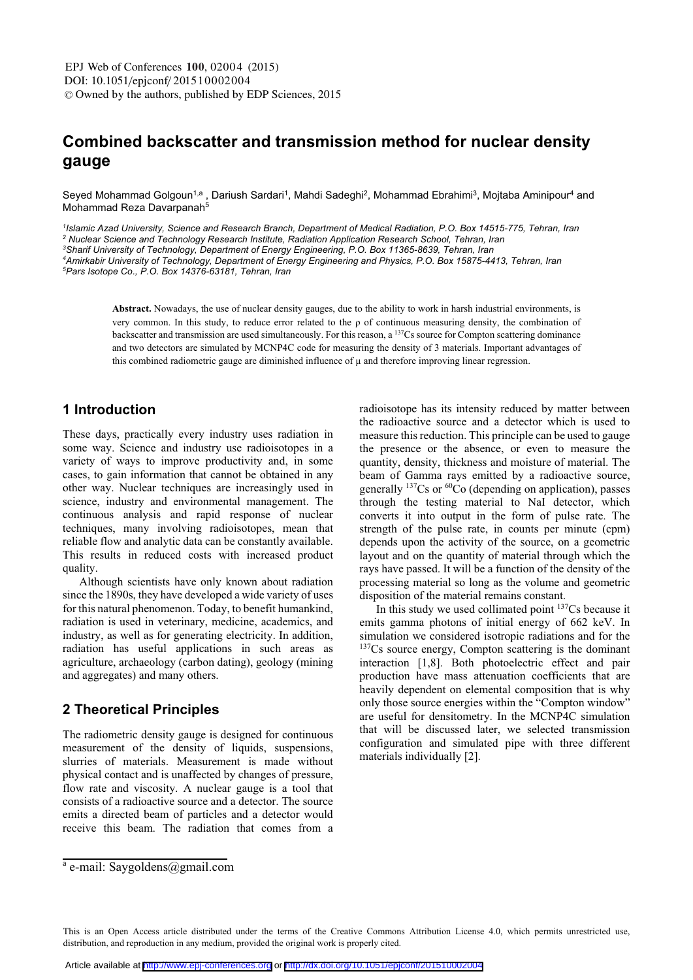# Combined backscatter and transmission method for nuclear density

Seved Mohammad Golgoun<sup>1,a</sup> . Dariush Sardari<sup>1</sup>. Mahdi Sadeghi<sup>2</sup>. Mohammad Ebrahimi<sup>3</sup>. Moitaba Aminipour<sup>4</sup> and Mohammad Reza Davarpanah<sup>5</sup>

<sup>1</sup> Islamic Azad University, Science and Research Branch, Department of Medical Radiation, P.O. Box 14515-775, Tehran, Iran

<sup>2</sup> Nuclear Science and Technology Research Institute, Radiation Application Research School, Tehran, Iran

*3 Sharif University of Technology, Department of Energy Engineering, P.O. Box 11365-8639, Tehran, Iran* 

*4 Amirkabir University of Technology, Department of Energy Engineering and Physics, P.O. Box 15875-4413, Tehran, Iran 5 Pars Isotope Co., P.O. Box 14376-63181, Tehran, Iran* 

**Abstract. Nowadays, the use of nuclear density gauges, due to the ability to work in harsh industrial environments, is** very common. In this study, to reduce error related to the  $\rho$  of continuous measuring density, the combination of backscatter and transmission are used simultaneously. For this reason, a  $^{137}Cs$  source for Compton scattering dominance and two detectors are simulated by MCNP4C code for measuring the density of  $\overline{3}$  materials. Important advantages of this combined radiometric gauge are diminished influence of  $\mu$  and therefore improving linear regression.

# 1 Introduction

These days, practically every industry uses radiation in some way. Science and industry use radioisotopes in a variety of ways to improve productivity and, in some  $\frac{1}{2}$  cases, to gain information that cannot be obtained in any other way. Nuclear techniques are increasingly used in science, industry and environmental management. The  $\frac{1}{2}$  continuous analysis and rapid response of nuclear techniques, many involving radioisotopes, mean that reliable flow and analytic data can be constantly available. This results in reduced costs with increased product quality.

Although scientists have only known about radiation since the  $1890s$ , they have developed a wide variety of uses for this natural phenomenon. Today, to benefit humankind, radiation is used in veterinary, medicine, academics, and industry, as well as for generating electricity. In addition, radiation has useful applications in such areas as  $a$ griculture, archaeology (carbon dating), geology (mining and aggregates) and many others.

## 2 Theoretical Principles

The radiometric density gauge is designed for continuous measurement of the density of liquids, suspensions, slurries of materials. Measurement is made without physical contact and is unaffected by changes of pressure. flow rate and viscosity. A nuclear gauge is a tool that  $\frac{1}{2}$  consists of a radioactive source and a detector. The source emits a directed beam of particles and a detector would receive this beam. The radiation that comes from a radioisotope has its intensity reduced by matter between the radioactive source and a detector which is used to measure this reduction. This principle can be used to gauge the presence or the absence, or even to measure the quantity, density, thickness and moisture of material. The beam of Gamma ravs emitted by a radioactive source. generally  $^{137}Cs$  or  $^{60}Co$  (depending on application), passes  $\overline{a}$  through the testing material to NaI detector, which converts it into output in the form of pulse rate. The strength of the pulse rate, in counts per minute  $\frac{1}{2}$ depends upon the activity of the source, on a geometric layout and on the quantity of material through which the rays have passed. It will be a function of the density of the processing material so long as the volume and geometric disposition of the material remains constant.

In this study we used collimated point  $137Cs$  because it emits gamma photons of initial energy of  $662$  keV. In simulation we considered isotropic radiations and for the  $137Cs$  source energy. Compton scattering is the dominant interaction [1.8]. Both photoelectric effect and pair production have mass attenuation coefficients that are **Composition** that is why heavily dependent on elemental composition that is why only those source energies within the "Compton window" are useful for densitometry. In the MCNP4C simulation that will be discussed later, we selected transmission configuration and simulated pipe with three different materials individually [2].

<sup>&</sup>lt;sup>a</sup> e-mail: Savgoldens@gmail.com

This is an Open Access article distributed under the terms of the Creative Commons Attribution License 4.0, which permits unrestricted use, distribution, and reproduction in any medium, provided the original work is properly cited.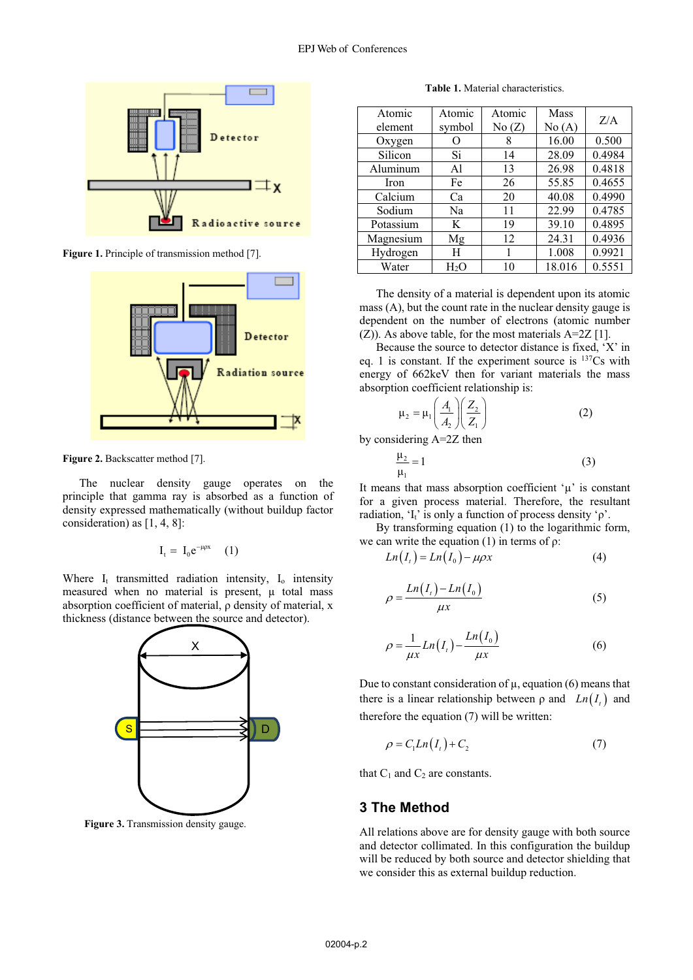

Figure 1. Principle of transmission method [7].



Figure 2. Backscatter method [7].

The nuclear density gauge operates on the principle that gamma ray is absorbed as a function of density expressed mathematically (without buildup factor consideration) as  $[1, 4, 8]$ :

$$
\mathbf{I}_{t} = \mathbf{I}_{0} \mathbf{e}^{-\mu \rho x} \qquad (1)
$$

Where  $I_t$  transmitted radiation intensity,  $I_0$  intensity measured when no material is present,  $\mu$  total mass absorption coefficient of material,  $\rho$  density of material, x thickness (distance between the source and detector).



Figure 3. Transmission density gauge.

Table 1. Material characteristics.

| Atomic    | Atomic | Atomic | Mass   | Z/A    |
|-----------|--------|--------|--------|--------|
| element   | symbol | No(Z)  | No(A)  |        |
| Oxygen    |        | 8      | 16.00  | 0.500  |
| Silicon   | Si     | 14     | 28.09  | 0.4984 |
| Aluminum  | Al     | 13     | 26.98  | 0.4818 |
| Iron      | Fe     | 26     | 55.85  | 0.4655 |
| Calcium   | Ca     | 20     | 40.08  | 0.4990 |
| Sodium    | Na     | 11     | 22.99  | 0.4785 |
| Potassium | K      | 19     | 39.10  | 0.4895 |
| Magnesium | Mg     | 12     | 24.31  | 0.4936 |
| Hydrogen  | H      |        | 1.008  | 0.9921 |
| Water     | Н2О    | 10     | 18.016 | 0.5551 |

The density of a material is dependent upon its atomic mass (A), but the count rate in the nuclear density gauge is dependent on the number of electrons (atomic number  $(Z)$ ). As above table, for the most materials A=2Z [1].

Because the source to detector distance is fixed, 'X' in eq. 1 is constant. If the experiment source is  $137Cs$  with energy of 662keV then for variant materials the mass absorption coefficient relationship is:

$$
\mu_2 = \mu_1 \left( \frac{A_1}{A_2} \right) \left( \frac{Z_2}{Z_1} \right) \tag{2}
$$

by considering A=2Z then

$$
\frac{\mu_2}{\mu_1} = 1\tag{3}
$$

It means that mass absorption coefficient  $\mu$  is constant for a given process material. Therefore, the resultant radiation, ' $I_t$ ' is only a function of process density ' $\rho$ '.

By transforming equation (1) to the logarithmic form, we can write the equation (1) in terms of  $\rho$ :

$$
Ln(It) = Ln(I0) - \mu \rho x
$$
\n(4)

$$
o = \frac{Ln(I_t) - Ln(I_0)}{\mu x}
$$
 (5)

$$
o = \frac{1}{\mu x} Ln(I_t) - \frac{Ln(I_0)}{\mu x}
$$
 (6)

Due to constant consideration of  $\mu$ , equation (6) means that there is a linear relationship between  $\rho$  and  $Ln(I_1)$  and therefore the equation  $(7)$  will be written:

$$
\rho = C_1 L n(I_t) + C_2 \tag{7}
$$

that  $C_1$  and  $C_2$  are constants.

#### **3 The Method**

 $\overline{1}$ 

All relations above are for density gauge with both source and detector collimated. In this configuration the buildup will be reduced by both source and detector shielding that we consider this as external buildup reduction.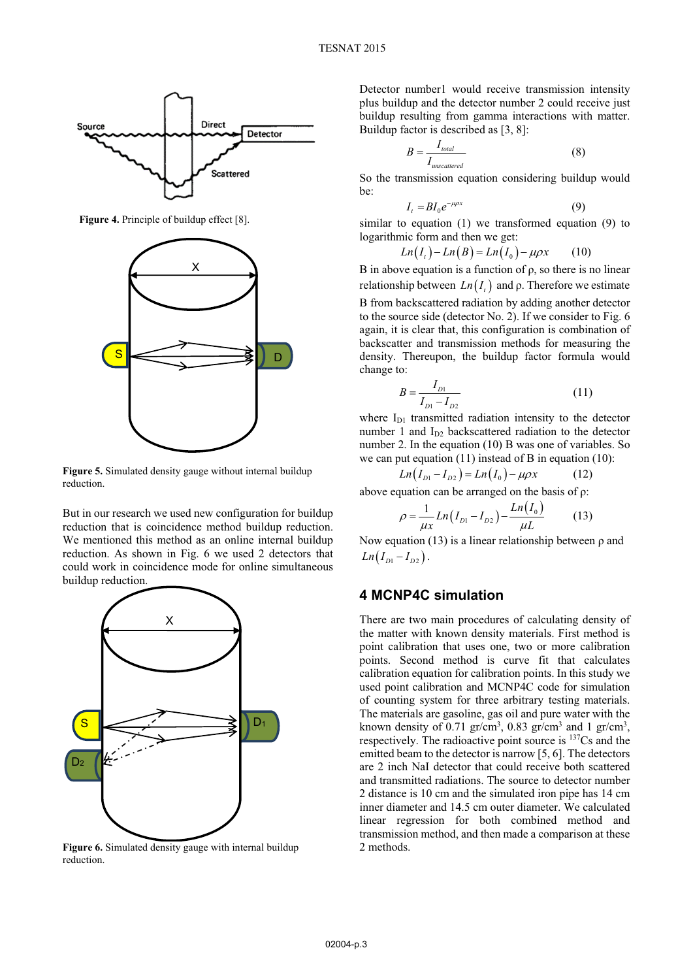

Figure 4. Principle of buildup effect [8].



Figure 5. Simulated density gauge without internal buildup reduction.

But in our research we used new configuration for buildup reduction that is coincidence method buildup reduction. We mentioned this method as an online internal buildup reduction. As shown in Fig. 6 we used 2 detectors that could work in coincidence mode for online simultaneous buildup reduction.



Figure 6. Simulated density gauge with internal buildup reduction.

Detector number1 would receive transmission intensity plus buildup and the detector number 2 could receive just buildup resulting from gamma interactions with matter. Buildup factor is described as [3, 8]:

$$
B = \frac{I_{total}}{I_{unscattered}} \tag{8}
$$

So the transmission equation considering buildup would he:

$$
I_t = BI_0 e^{-\mu \rho x} \tag{9}
$$

similar to equation  $(1)$  we transformed equation  $(9)$  to logarithmic form and then we get:

$$
Ln(It)-Ln(B)=Ln(I0)-\mu \rho x \qquad (10)
$$

B in above equation is a function of  $\rho$ , so there is no linear relationship between  $Ln(I_1)$  and  $\rho$ . Therefore we estimate

B from backscattered radiation by adding another detector to the source side (detector No. 2). If we consider to Fig. 6 again, it is clear that, this configuration is combination of backscatter and transmission methods for measuring the density. Thereupon, the buildup factor formula would change to:

$$
B = \frac{I_{D1}}{I_{D1} - I_{D2}}\tag{11}
$$

where  $I_{D1}$  transmitted radiation intensity to the detector number 1 and  $I_{D2}$  backscattered radiation to the detector number 2. In the equation  $(10)$  B was one of variables. So we can put equation  $(11)$  instead of B in equation  $(10)$ :

$$
Ln(I_{D1} - I_{D2}) = Ln(I_0) - \mu \rho x \tag{12}
$$

above equation can be arranged on the basis of  $\rho$ :

$$
\rho = \frac{1}{\mu x} Ln(I_{D1} - I_{D2}) - \frac{Ln(I_0)}{\mu L}
$$
 (13)

Now equation (13) is a linear relationship between  $\rho$  and  $Ln(I_{D1}-I_{D2})$ .

## **4 MCNP4C simulation**

There are two main procedures of calculating density of the matter with known density materials. First method is point calibration that uses one, two or more calibration points. Second method is curve fit that calculates calibration equation for calibration points. In this study we used point calibration and MCNP4C code for simulation of counting system for three arbitrary testing materials. The materials are gasoline, gas oil and pure water with the known density of 0.71 gr/cm<sup>3</sup>, 0.83 gr/cm<sup>3</sup> and 1 gr/cm<sup>3</sup>, respectively. The radioactive point source is <sup>137</sup>Cs and the emitted beam to the detector is narrow  $[5, 6]$ . The detectors are 2 inch NaI detector that could receive both scattered and transmitted radiations. The source to detector number 2 distance is 10 cm and the simulated iron pipe has 14 cm inner diameter and 14.5 cm outer diameter. We calculated linear regression for both combined method and transmission method, and then made a comparison at these 2 methods.